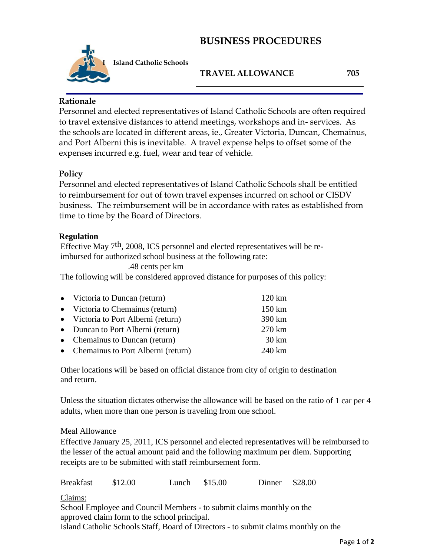## **BUSINESS PROCEDURES**



**Island Catholic Schools**

### **TRAVEL ALLOWANCE 705**

### **Rationale**

Personnel and elected representatives of Island Catholic Schools are often required to travel extensive distances to attend meetings, workshops and in- services. As the schools are located in different areas, ie., Greater Victoria, Duncan, Chemainus, and Port Alberni this is inevitable. A travel expense helps to offset some of the expenses incurred e.g. fuel, wear and tear of vehicle.

### **Policy**

Personnel and elected representatives of Island Catholic Schools shall be entitled to reimbursement for out of town travel expenses incurred on school or CISDV business. The reimbursement will be in accordance with rates as established from time to time by the Board of Directors.

#### **Regulation**

Effective May 7th, 2008, ICS personnel and elected representatives will be reimbursed for authorized school business at the following rate:

.48 cents per km

The following will be considered approved distance for purposes of this policy:

| • Victoria to Duncan (return)        | 120 km           |
|--------------------------------------|------------------|
| • Victoria to Chemainus (return)     | 150 km           |
| • Victoria to Port Alberni (return)  | 390 km           |
| • Duncan to Port Alberni (return)    | 270 km           |
| • Chemainus to Duncan (return)       | $30 \mathrm{km}$ |
| • Chemainus to Port Alberni (return) | 240 km           |

Other locations will be based on official distance from city of origin to destination and return.

Unless the situation dictates otherwise the allowance will be based on the ratio of 1 car per 4 adults, when more than one person is traveling from one school.

#### Meal Allowance

Effective January 25, 2011, ICS personnel and elected representatives will be reimbursed to the lesser of the actual amount paid and the following maximum per diem. Supporting receipts are to be submitted with staff reimbursement form.

Breakfast \$12.00 Lunch \$15.00 Dinner \$28.00

Claims:

School Employee and Council Members - to submit claims monthly on the approved claim form to the school principal.

Island Catholic Schools Staff, Board of Directors - to submit claims monthly on the